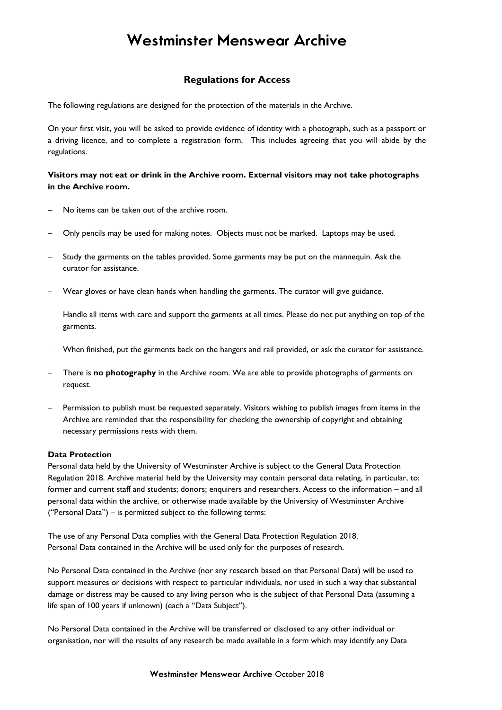## **Westminster Menswear Archive**

### **Regulations for Access**

The following regulations are designed for the protection of the materials in the Archive.

On your first visit, you will be asked to provide evidence of identity with a photograph, such as a passport or a driving licence, and to complete a registration form. This includes agreeing that you will abide by the regulations.

#### **Visitors may not eat or drink in the Archive room. External visitors may not take photographs in the Archive room.**

- No items can be taken out of the archive room.
- − Only pencils may be used for making notes. Objects must not be marked. Laptops may be used.
- Study the garments on the tables provided. Some garments may be put on the mannequin. Ask the curator for assistance.
- − Wear gloves or have clean hands when handling the garments. The curator will give guidance.
- − Handle all items with care and support the garments at all times. Please do not put anything on top of the garments.
- − When finished, put the garments back on the hangers and rail provided, or ask the curator for assistance.
- − There is **no photography** in the Archive room. We are able to provide photographs of garments on request.
- Permission to publish must be requested separately. Visitors wishing to publish images from items in the Archive are reminded that the responsibility for checking the ownership of copyright and obtaining necessary permissions rests with them.

#### **Data Protection**

Personal data held by the University of Westminster Archive is subject to the General Data Protection Regulation 2018. Archive material held by the University may contain personal data relating, in particular, to: former and current staff and students; donors; enquirers and researchers. Access to the information – and all personal data within the archive, or otherwise made available by the University of Westminster Archive ("Personal Data") – is permitted subject to the following terms:

The use of any Personal Data complies with the General Data Protection Regulation 2018. Personal Data contained in the Archive will be used only for the purposes of research.

No Personal Data contained in the Archive (nor any research based on that Personal Data) will be used to support measures or decisions with respect to particular individuals, nor used in such a way that substantial damage or distress may be caused to any living person who is the subject of that Personal Data (assuming a life span of 100 years if unknown) (each a "Data Subject").

No Personal Data contained in the Archive will be transferred or disclosed to any other individual or organisation, nor will the results of any research be made available in a form which may identify any Data